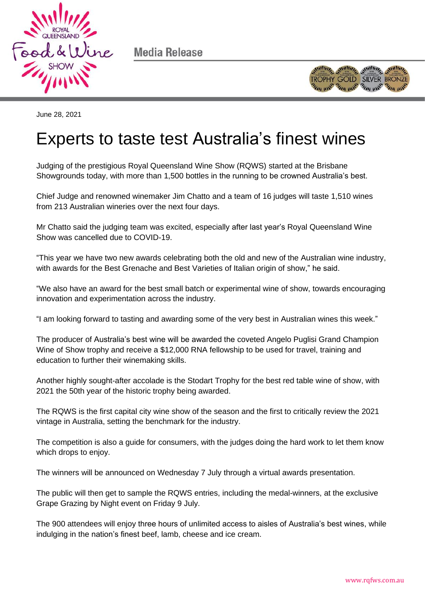

Media Release



June 28, 2021

## Experts to taste test Australia's finest wines

Judging of the prestigious Royal Queensland Wine Show (RQWS) started at the Brisbane Showgrounds today, with more than 1,500 bottles in the running to be crowned Australia's best.

Chief Judge and renowned winemaker Jim Chatto and a team of 16 judges will taste 1,510 wines from 213 Australian wineries over the next four days.

Mr Chatto said the judging team was excited, especially after last year's Royal Queensland Wine Show was cancelled due to COVID-19.

"This year we have two new awards celebrating both the old and new of the Australian wine industry, with awards for the Best Grenache and Best Varieties of Italian origin of show," he said.

"We also have an award for the best small batch or experimental wine of show, towards encouraging innovation and experimentation across the industry.

"I am looking forward to tasting and awarding some of the very best in Australian wines this week."

The producer of Australia's best wine will be awarded the coveted Angelo Puglisi Grand Champion Wine of Show trophy and receive a \$12,000 RNA fellowship to be used for travel, training and education to further their winemaking skills.

Another highly sought-after accolade is the Stodart Trophy for the best red table wine of show, with 2021 the 50th year of the historic trophy being awarded.

The RQWS is the first capital city wine show of the season and the first to critically review the 2021 vintage in Australia, setting the benchmark for the industry.

The competition is also a guide for consumers, with the judges doing the hard work to let them know which drops to enjoy.

The winners will be announced on Wednesday 7 July through a virtual awards presentation.

The public will then get to sample the RQWS entries, including the medal-winners, at the exclusive Grape Grazing by Night event on Friday 9 July.

The 900 attendees will enjoy three hours of unlimited access to aisles of Australia's best wines, while indulging in the nation's finest beef, lamb, cheese and ice cream.